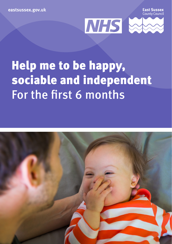**eastsussex.gov.uk**

**Fast Sussex County Counci** 



# Help me to be happy, sociable and independent For the first 6 months

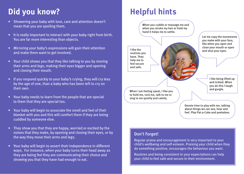# **Did you know? Helpful hints**

- Showering your baby with love, care and attention doesn't mean that you are spoiling them.
- It is really important to interact with your baby right from birth. You are far more interesting than objects.
- Mirroring your baby's expressions will gain their attention and make them want to get involved.
- Your child shows you that they like talking to you by moving their arms and legs, making their eyes bigger and opening and closing their mouth.
- If you respond quickly to your baby's crying, they will cry less by the age of one, than a baby who has been left to cry on their own.
- Your baby needs to learn from the people that are special to them that they are special too.
- Your baby will begin to associate the smell and feel of their blanket with you and this will comfort them if they are being cuddled by someone else.
- They show you that they are happy, worried or excited by the noises that they make, by opening and closing their eyes, or by the way they move their arms and legs.
- Your baby will begin to assert their independence in different ways. For instance, when your baby turns their head away as they are being fed they are communicating their choice and showing you that they have had enough to eat.

When you cuddle or massage me and when you stroke my hair or hold my hand it helps me to settle.

I like the routines you have. They help me to feel secure and safe.



Let me copy the movements you make with your face, like when you open and close your mouth or open and shut your eyes.

> I like being lifted up and tickled. When you do this I laugh

When I am feeling upset, I like you to hold me, rock me, talk to me or sing to me quietly and calmly.

> Devote time to play with me, talking about things we can see, hear and feel. Play Pat-a-Cake and peekaboo.

## Don't Forget!

Regular praise and encouragement is very important to your child's wellbeing and self-esteem. Praising your child when they do something positive, encourages the behaviour you want.

Routines and being consistent in your expectations can help your child to feel safe and secure in their environment.